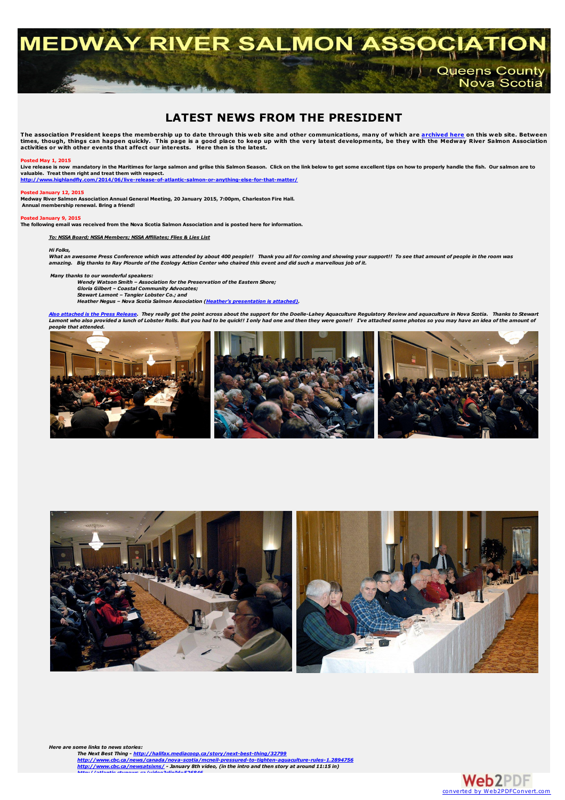

# **LATEST NEWS FROM THE PRESIDENT**

The association President keeps the membership up to date through this web site and other communications, many of which are <u>[archived](../archives/archives.html) here</u> on this web site. Between<br>times, though, things can happen quickly. This page is a

#### **Posted May 1, 2015**

Live release is now mandatory in the Maritimes for large salmon and grilse this Salmon Season. Click on the link below to get some excellent tips on how to properly handle the fish. Our salmon are to<br>valuable. Treat them r

**<http://www.highlandfly.com/2014/06/live-release-of-atlantic-salmon-or-anything-else-for-that-matter/>**

#### **Posted January 12, 2015**

Medway River Salmon Association Annual General Meeting, 20 January 2015, 7:00pm, Charleston Fire Hall.<br>Annual membership renewal. Bring a friend!

**Posted January 9, 2015**

The following email was received from the Nova Scotia Salmon Association and is posted here for information.

### *To: NSSA Board; NSSA Members; NSSA Affiliates; Flies & Lies List*

#### *Hi Folks,*

What an awesome Press Conference which was attended by about 400 people!! Thank you all for coming and showing your support!! To see that amount of people in the room was amazing. Big thanks to Ray Plourde of the Ecology Action Center who chaired this event and did such a marvellous job of it.

*Many thanks to our wonderful speakers:*

*Wendy Watson Smith – Association for the Preservation of the Eastern Shore; Gloria Gilbert – Coastal Community Advocates;*

Stewart Lamont – Tangier Lobster Co.; and<br>Heather Negus – Nova Scotia Salmon Association (<u>Heather's [presentation](NSSA Presentation - Aquaculture Press Conference.pdf) is attached)</u>.

<mark>Also [attached](ACAR NS Press Release - DL Reaction- Jan 8 2015.pdf) is the Press Release</mark>. They really got the point across about the support for the Doelle-Lahey Aquaculture Regulatory Review and aquaculture in Nova Scotia. Thanks to Stewart<br>Lamont who also provided a lunch *people that attended.*





*Here are some links to news stories:* The Next Best Thing - <http://halifax.mediacoop.ca/story/next-best-thing/32799><br><http://www.cbc.ca/news/canada/nova-scotia/mcneil-pressured-to-tighten-aquaculture-rules-1.2894756><br>http://www.cbc.ca/news/stis/ms/- January 8th v